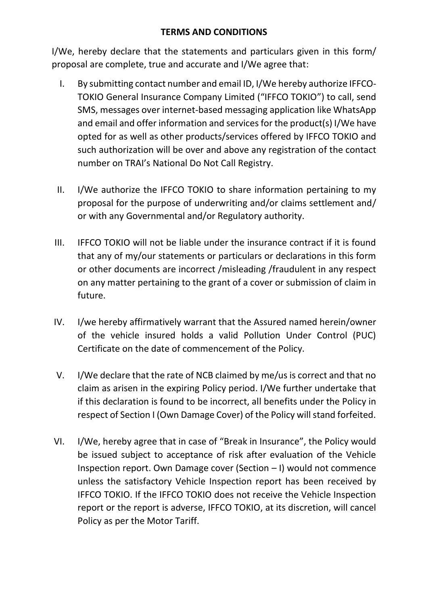## **TERMS AND CONDITIONS**

I/We, hereby declare that the statements and particulars given in this form/ proposal are complete, true and accurate and I/We agree that:

- I. By submitting contact number and email ID, I/We hereby authorize IFFCO-TOKIO General Insurance Company Limited ("IFFCO TOKIO") to call, send SMS, messages over internet-based messaging application like WhatsApp and email and offer information and services for the product(s) I/We have opted for as well as other products/services offered by IFFCO TOKIO and such authorization will be over and above any registration of the contact number on TRAI's National Do Not Call Registry.
- II. I/We authorize the IFFCO TOKIO to share information pertaining to my proposal for the purpose of underwriting and/or claims settlement and/ or with any Governmental and/or Regulatory authority.
- III. IFFCO TOKIO will not be liable under the insurance contract if it is found that any of my/our statements or particulars or declarations in this form or other documents are incorrect /misleading /fraudulent in any respect on any matter pertaining to the grant of a cover or submission of claim in future.
- IV. I/we hereby affirmatively warrant that the Assured named herein/owner of the vehicle insured holds a valid Pollution Under Control (PUC) Certificate on the date of commencement of the Policy.
- V. I/We declare that the rate of NCB claimed by me/us is correct and that no claim as arisen in the expiring Policy period. I/We further undertake that if this declaration is found to be incorrect, all benefits under the Policy in respect of Section I (Own Damage Cover) of the Policy will stand forfeited.
- VI. I/We, hereby agree that in case of "Break in Insurance", the Policy would be issued subject to acceptance of risk after evaluation of the Vehicle Inspection report. Own Damage cover (Section – I) would not commence unless the satisfactory Vehicle Inspection report has been received by IFFCO TOKIO. If the IFFCO TOKIO does not receive the Vehicle Inspection report or the report is adverse, IFFCO TOKIO, at its discretion, will cancel Policy as per the Motor Tariff.